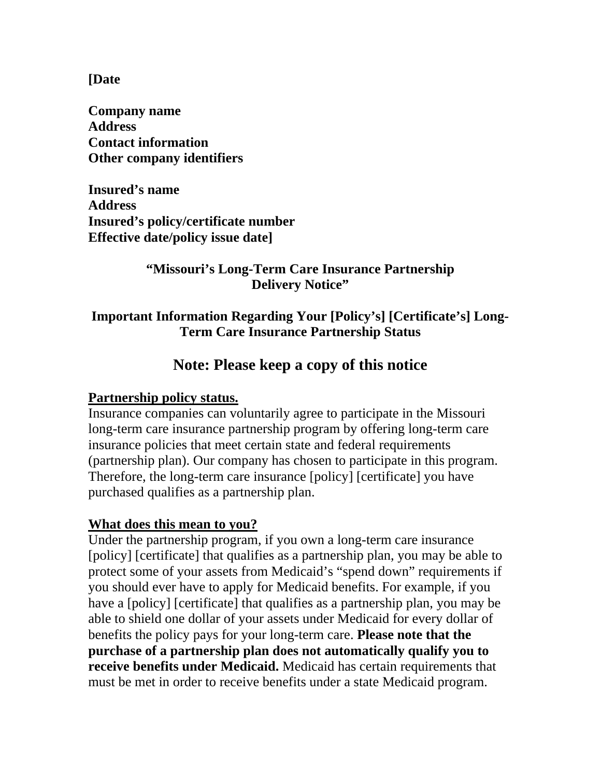**[Date** 

**Company name Address Contact information Other company identifiers** 

**Insured's name Address Insured's policy/certificate number Effective date/policy issue date]** 

#### **"Missouri's Long-Term Care Insurance Partnership Delivery Notice"**

### **Important Information Regarding Your [Policy's] [Certificate's] Long-Term Care Insurance Partnership Status**

# **Note: Please keep a copy of this notice**

#### **Partnership policy status.**

Insurance companies can voluntarily agree to participate in the Missouri long-term care insurance partnership program by offering long-term care insurance policies that meet certain state and federal requirements (partnership plan). Our company has chosen to participate in this program. Therefore, the long-term care insurance [policy] [certificate] you have purchased qualifies as a partnership plan.

#### **What does this mean to you?**

Under the partnership program, if you own a long-term care insurance [policy] [certificate] that qualifies as a partnership plan, you may be able to protect some of your assets from Medicaid's "spend down" requirements if you should ever have to apply for Medicaid benefits. For example, if you have a [policy] [certificate] that qualifies as a partnership plan, you may be able to shield one dollar of your assets under Medicaid for every dollar of benefits the policy pays for your long-term care. **Please note that the purchase of a partnership plan does not automatically qualify you to receive benefits under Medicaid.** Medicaid has certain requirements that must be met in order to receive benefits under a state Medicaid program.